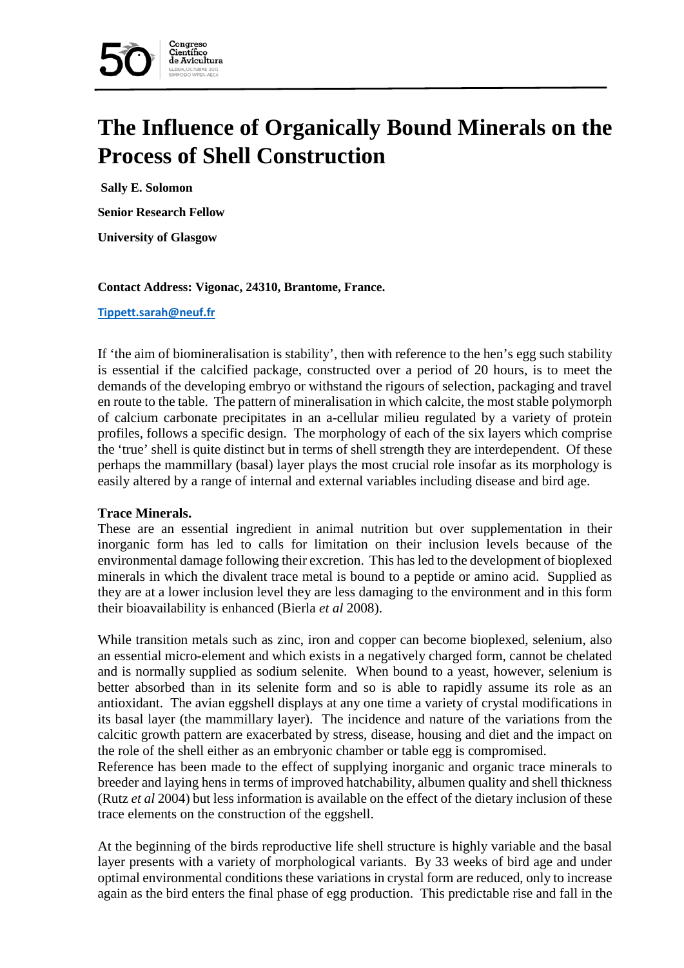

# **The Influence of Organically Bound Minerals on the Process of Shell Construction**

**Sally E. Solomon**

**Senior Research Fellow**

**University of Glasgow**

#### **Contact Address: Vigonac, 24310, Brantome, France.**

#### **[Tippett.sarah@neuf.fr](mailto:Tippett.sarah@neuf.fr)**

If 'the aim of biomineralisation is stability', then with reference to the hen's egg such stability is essential if the calcified package, constructed over a period of 20 hours, is to meet the demands of the developing embryo or withstand the rigours of selection, packaging and travel en route to the table. The pattern of mineralisation in which calcite, the most stable polymorph of calcium carbonate precipitates in an a-cellular milieu regulated by a variety of protein profiles, follows a specific design. The morphology of each of the six layers which comprise the 'true' shell is quite distinct but in terms of shell strength they are interdependent. Of these perhaps the mammillary (basal) layer plays the most crucial role insofar as its morphology is easily altered by a range of internal and external variables including disease and bird age.

## **Trace Minerals.**

These are an essential ingredient in animal nutrition but over supplementation in their inorganic form has led to calls for limitation on their inclusion levels because of the environmental damage following their excretion. This has led to the development of bioplexed minerals in which the divalent trace metal is bound to a peptide or amino acid. Supplied as they are at a lower inclusion level they are less damaging to the environment and in this form their bioavailability is enhanced (Bierla *et al* 2008).

While transition metals such as zinc, iron and copper can become bioplexed, selenium, also an essential micro-element and which exists in a negatively charged form, cannot be chelated and is normally supplied as sodium selenite. When bound to a yeast, however, selenium is better absorbed than in its selenite form and so is able to rapidly assume its role as an antioxidant. The avian eggshell displays at any one time a variety of crystal modifications in its basal layer (the mammillary layer). The incidence and nature of the variations from the calcitic growth pattern are exacerbated by stress, disease, housing and diet and the impact on the role of the shell either as an embryonic chamber or table egg is compromised.

Reference has been made to the effect of supplying inorganic and organic trace minerals to breeder and laying hens in terms of improved hatchability, albumen quality and shell thickness (Rutz *et al* 2004) but less information is available on the effect of the dietary inclusion of these trace elements on the construction of the eggshell.

At the beginning of the birds reproductive life shell structure is highly variable and the basal layer presents with a variety of morphological variants. By 33 weeks of bird age and under optimal environmental conditions these variations in crystal form are reduced, only to increase again as the bird enters the final phase of egg production. This predictable rise and fall in the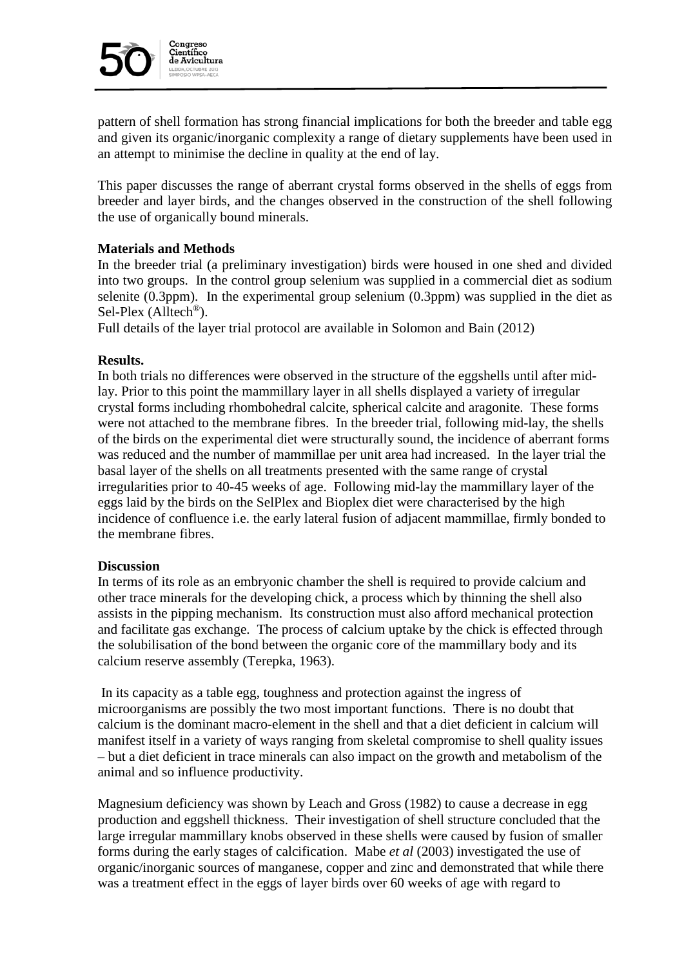

pattern of shell formation has strong financial implications for both the breeder and table egg and given its organic/inorganic complexity a range of dietary supplements have been used in an attempt to minimise the decline in quality at the end of lay.

This paper discusses the range of aberrant crystal forms observed in the shells of eggs from breeder and layer birds, and the changes observed in the construction of the shell following the use of organically bound minerals.

## **Materials and Methods**

In the breeder trial (a preliminary investigation) birds were housed in one shed and divided into two groups. In the control group selenium was supplied in a commercial diet as sodium selenite (0.3ppm). In the experimental group selenium (0.3ppm) was supplied in the diet as Sel-Plex (Alltech<sup>®</sup>).

Full details of the layer trial protocol are available in Solomon and Bain (2012)

## **Results.**

In both trials no differences were observed in the structure of the eggshells until after midlay. Prior to this point the mammillary layer in all shells displayed a variety of irregular crystal forms including rhombohedral calcite, spherical calcite and aragonite. These forms were not attached to the membrane fibres. In the breeder trial, following mid-lay, the shells of the birds on the experimental diet were structurally sound, the incidence of aberrant forms was reduced and the number of mammillae per unit area had increased. In the layer trial the basal layer of the shells on all treatments presented with the same range of crystal irregularities prior to 40-45 weeks of age. Following mid-lay the mammillary layer of the eggs laid by the birds on the SelPlex and Bioplex diet were characterised by the high incidence of confluence i.e. the early lateral fusion of adjacent mammillae, firmly bonded to the membrane fibres.

## **Discussion**

In terms of its role as an embryonic chamber the shell is required to provide calcium and other trace minerals for the developing chick, a process which by thinning the shell also assists in the pipping mechanism. Its construction must also afford mechanical protection and facilitate gas exchange. The process of calcium uptake by the chick is effected through the solubilisation of the bond between the organic core of the mammillary body and its calcium reserve assembly (Terepka, 1963).

In its capacity as a table egg, toughness and protection against the ingress of microorganisms are possibly the two most important functions. There is no doubt that calcium is the dominant macro-element in the shell and that a diet deficient in calcium will manifest itself in a variety of ways ranging from skeletal compromise to shell quality issues – but a diet deficient in trace minerals can also impact on the growth and metabolism of the animal and so influence productivity.

Magnesium deficiency was shown by Leach and Gross (1982) to cause a decrease in egg production and eggshell thickness. Their investigation of shell structure concluded that the large irregular mammillary knobs observed in these shells were caused by fusion of smaller forms during the early stages of calcification. Mabe *et al* (2003) investigated the use of organic/inorganic sources of manganese, copper and zinc and demonstrated that while there was a treatment effect in the eggs of layer birds over 60 weeks of age with regard to